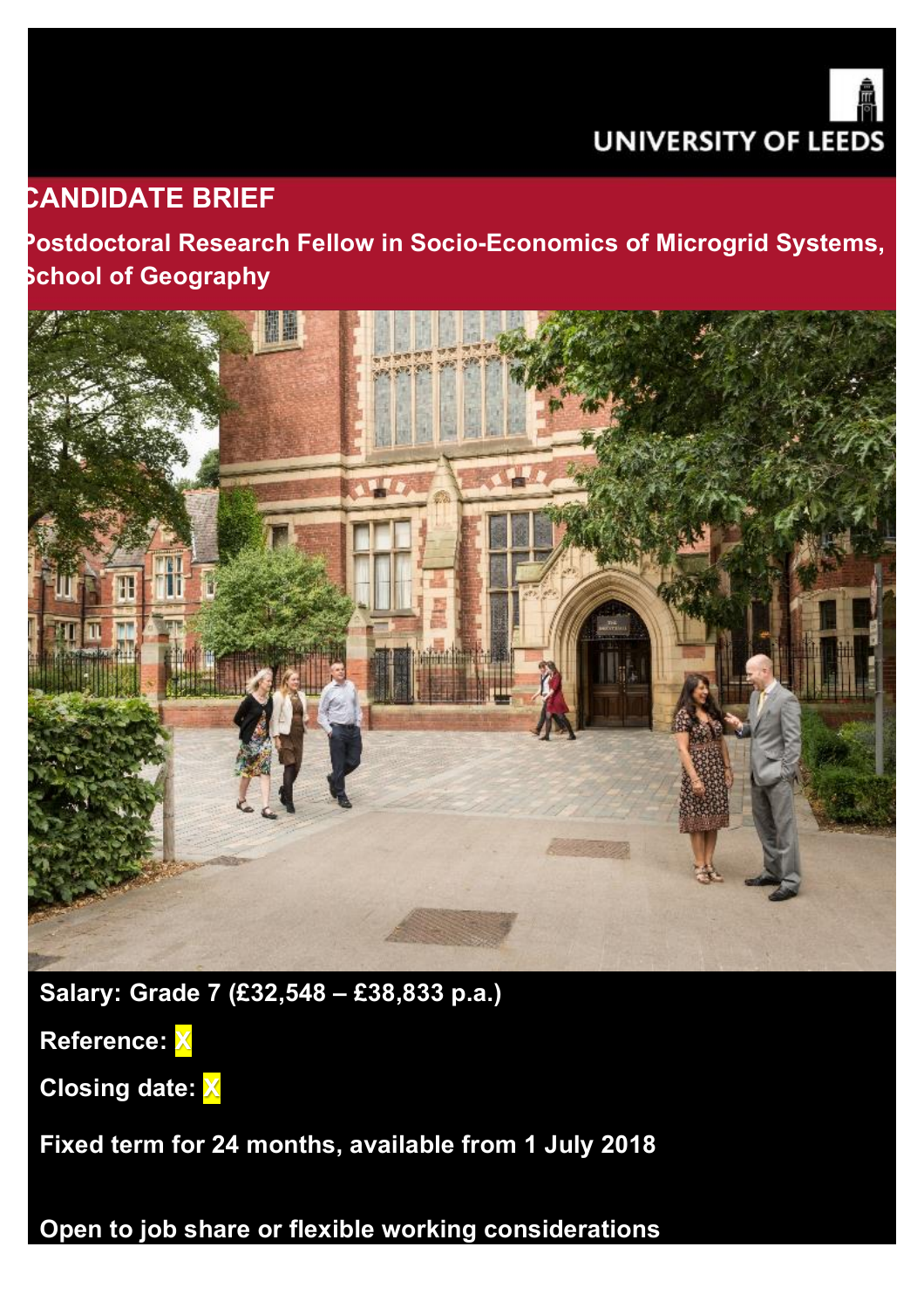

# **CANDIDATE BRIEF**

**Postdoctoral Research Fellow in Socio-Economics of Microgrid Systems, School of Geography**



**Salary: Grade 7 (£32,548 – £38,833 p.a.)** 

**Reference: X**

**Closing date: X**

**Fixed term for 24 months, available from 1 July 2018**

**Open to job share or flexible working considerations**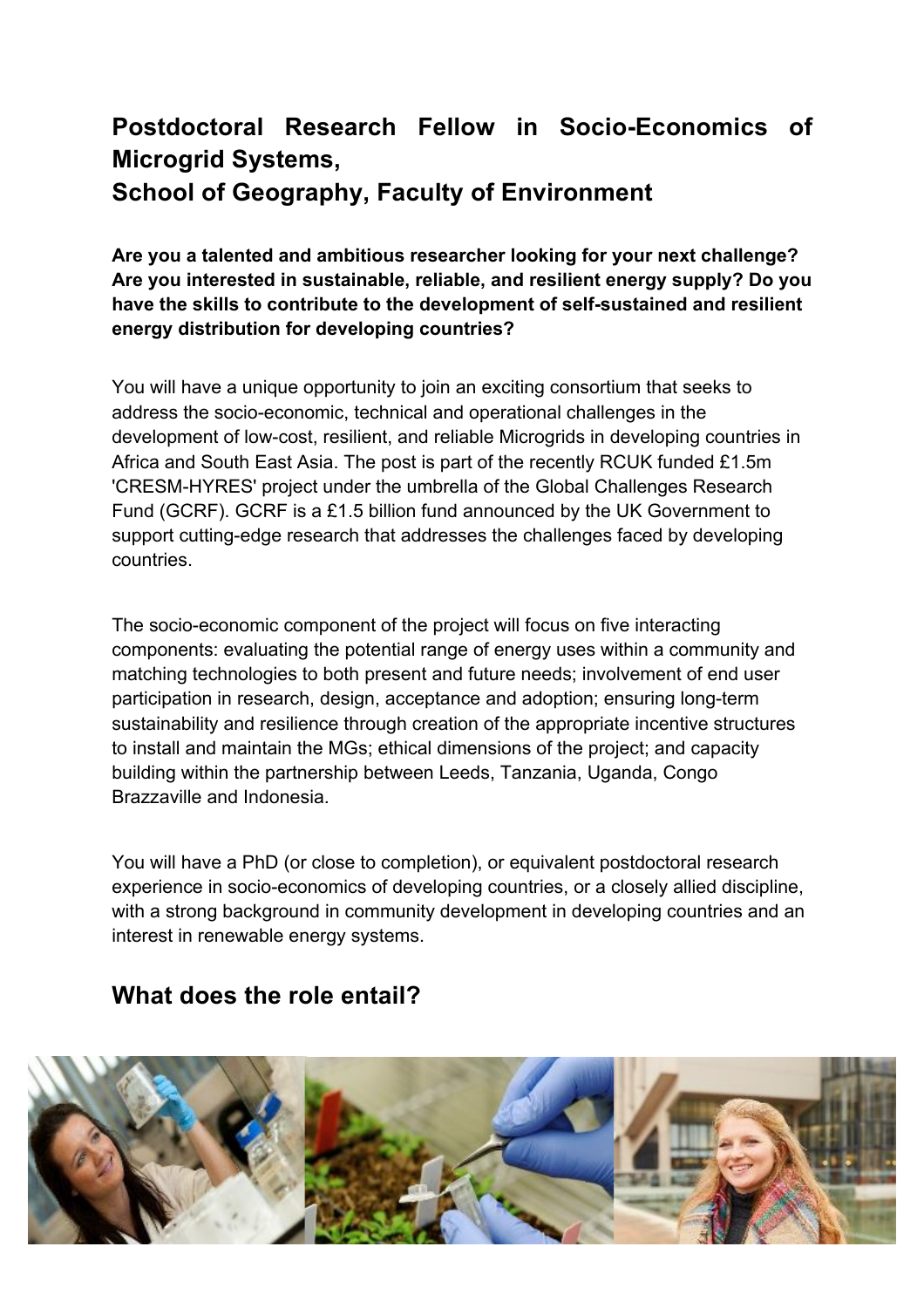# **Postdoctoral Research Fellow in Socio-Economics of Microgrid Systems, School of Geography, Faculty of Environment**

**Are you a talented and ambitious researcher looking for your next challenge? Are you interested in sustainable, reliable, and resilient energy supply? Do you have the skills to contribute to the development of self-sustained and resilient energy distribution for developing countries?**

You will have a unique opportunity to join an exciting consortium that seeks to address the socio-economic, technical and operational challenges in the development of low-cost, resilient, and reliable Microgrids in developing countries in Africa and South East Asia. The post is part of the recently RCUK funded £1.5m 'CRESM-HYRES' project under the umbrella of the Global Challenges Research Fund (GCRF). GCRF is a £1.5 billion fund announced by the UK Government to support cutting-edge research that addresses the challenges faced by developing countries.

The socio-economic component of the project will focus on five interacting components: evaluating the potential range of energy uses within a community and matching technologies to both present and future needs; involvement of end user participation in research, design, acceptance and adoption; ensuring long-term sustainability and resilience through creation of the appropriate incentive structures to install and maintain the MGs; ethical dimensions of the project; and capacity building within the partnership between Leeds, Tanzania, Uganda, Congo Brazzaville and Indonesia.

You will have a PhD (or close to completion), or equivalent postdoctoral research experience in socio-economics of developing countries, or a closely allied discipline, with a strong background in community development in developing countries and an interest in renewable energy systems.

### **What does the role entail?**

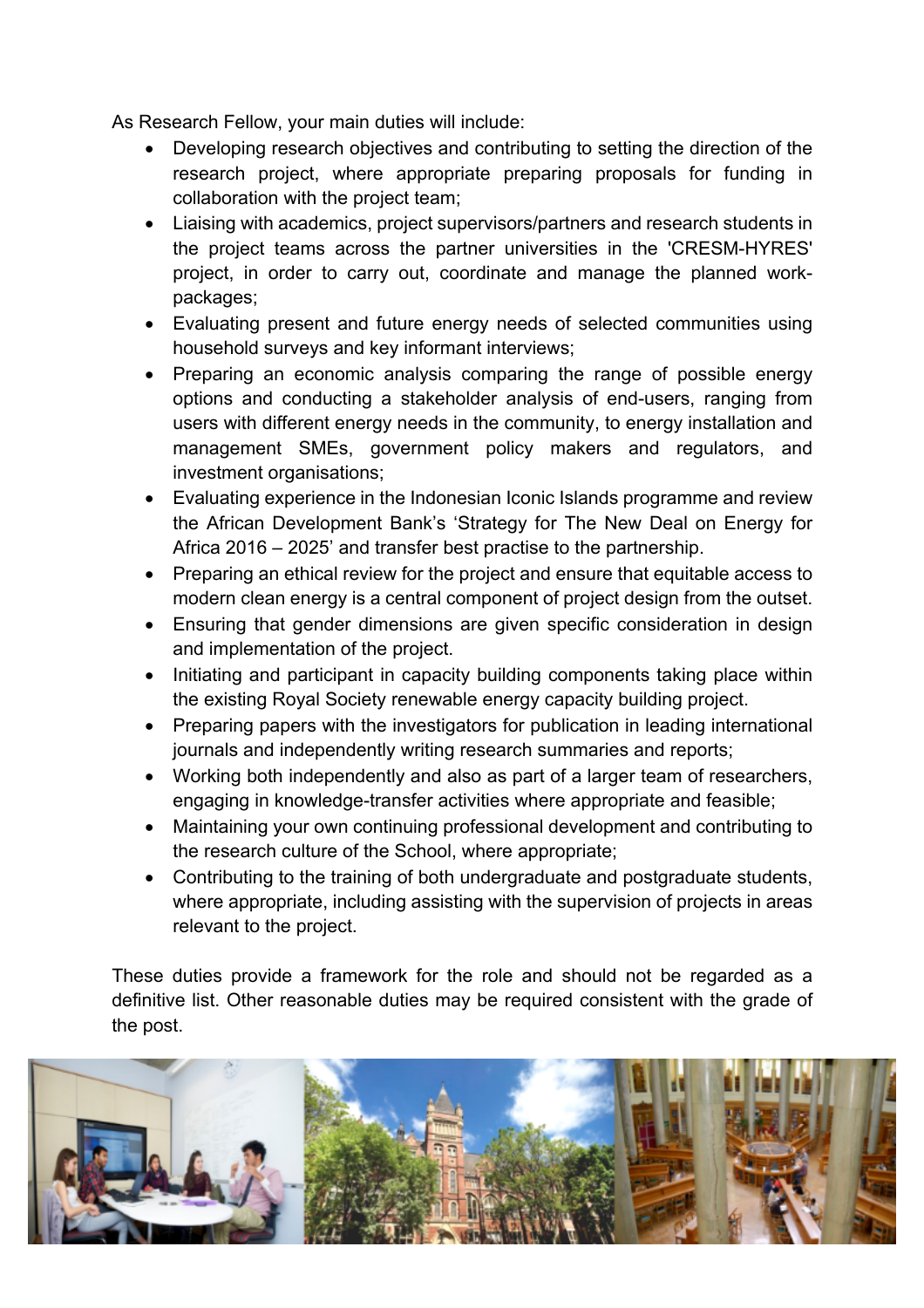As Research Fellow, your main duties will include:

- Developing research objectives and contributing to setting the direction of the research project, where appropriate preparing proposals for funding in collaboration with the project team;
- Liaising with academics, project supervisors/partners and research students in the project teams across the partner universities in the 'CRESM-HYRES' project, in order to carry out, coordinate and manage the planned workpackages;
- Evaluating present and future energy needs of selected communities using household surveys and key informant interviews;
- Preparing an economic analysis comparing the range of possible energy options and conducting a stakeholder analysis of end-users, ranging from users with different energy needs in the community, to energy installation and management SMEs, government policy makers and regulators, and investment organisations;
- Evaluating experience in the Indonesian Iconic Islands programme and review the African Development Bank's 'Strategy for The New Deal on Energy for Africa 2016 – 2025' and transfer best practise to the partnership.
- Preparing an ethical review for the project and ensure that equitable access to modern clean energy is a central component of project design from the outset.
- Ensuring that gender dimensions are given specific consideration in design and implementation of the project.
- Initiating and participant in capacity building components taking place within the existing Royal Society renewable energy capacity building project.
- Preparing papers with the investigators for publication in leading international journals and independently writing research summaries and reports;
- Working both independently and also as part of a larger team of researchers, engaging in knowledge-transfer activities where appropriate and feasible;
- Maintaining your own continuing professional development and contributing to the research culture of the School, where appropriate;
- Contributing to the training of both undergraduate and postgraduate students, where appropriate, including assisting with the supervision of projects in areas relevant to the project.

These duties provide a framework for the role and should not be regarded as a definitive list. Other reasonable duties may be required consistent with the grade of the post.

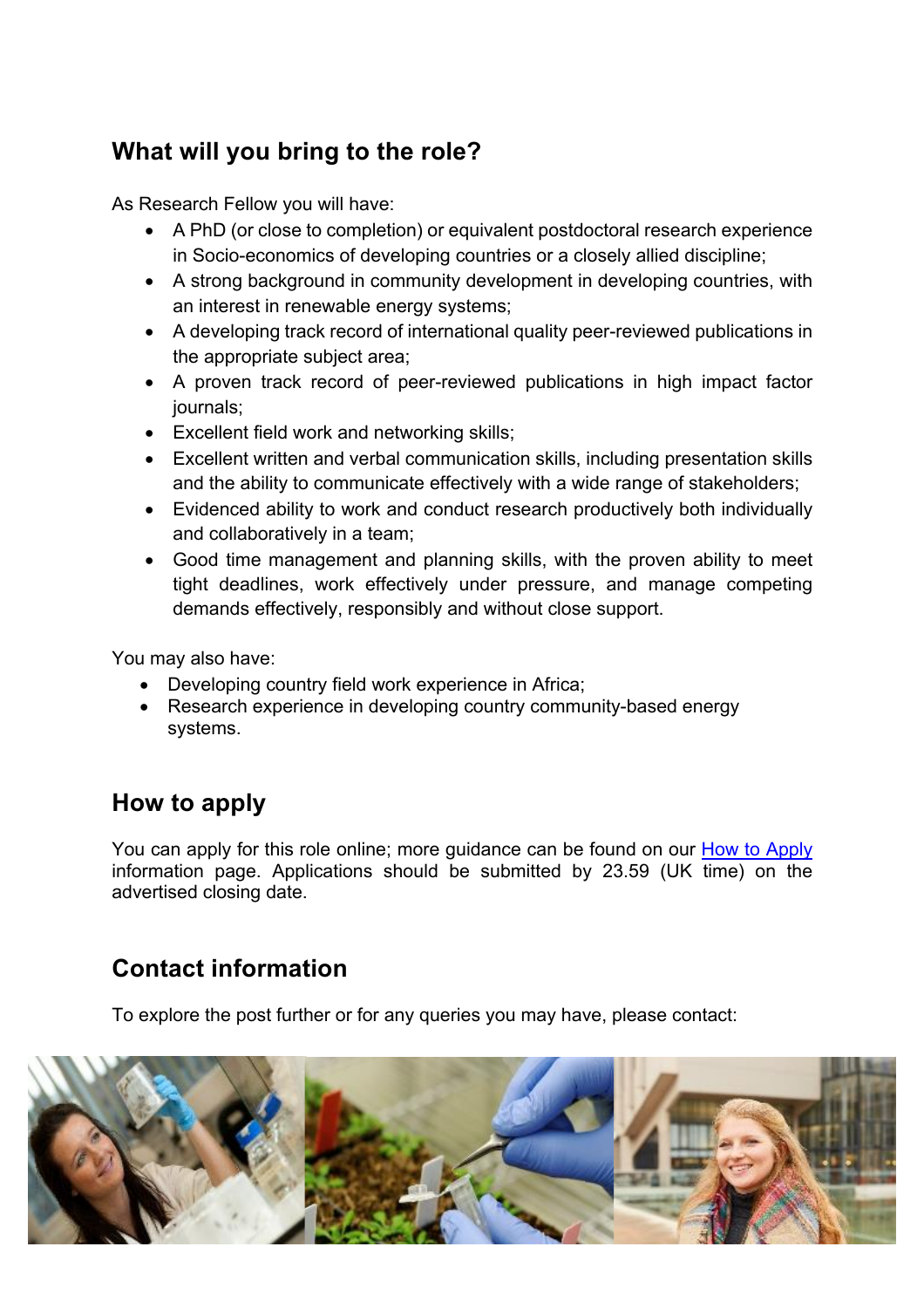## **What will you bring to the role?**

As Research Fellow you will have:

- A PhD (or close to completion) or equivalent postdoctoral research experience in Socio-economics of developing countries or a closely allied discipline;
- A strong background in community development in developing countries, with an interest in renewable energy systems;
- A developing track record of international quality peer-reviewed publications in the appropriate subject area;
- A proven track record of peer-reviewed publications in high impact factor journals;
- Excellent field work and networking skills;
- Excellent written and verbal communication skills, including presentation skills and the ability to communicate effectively with a wide range of stakeholders;
- Evidenced ability to work and conduct research productively both individually and collaboratively in a team;
- Good time management and planning skills, with the proven ability to meet tight deadlines, work effectively under pressure, and manage competing demands effectively, responsibly and without close support.

You may also have:

- Developing country field work experience in Africa;
- Research experience in developing country community-based energy systems.

## **How to apply**

You can apply for this role online; more guidance can be found on our How to Apply information page. Applications should be submitted by 23.59 (UK time) on the advertised closing date.

## **Contact information**

To explore the post further or for any queries you may have, please contact: